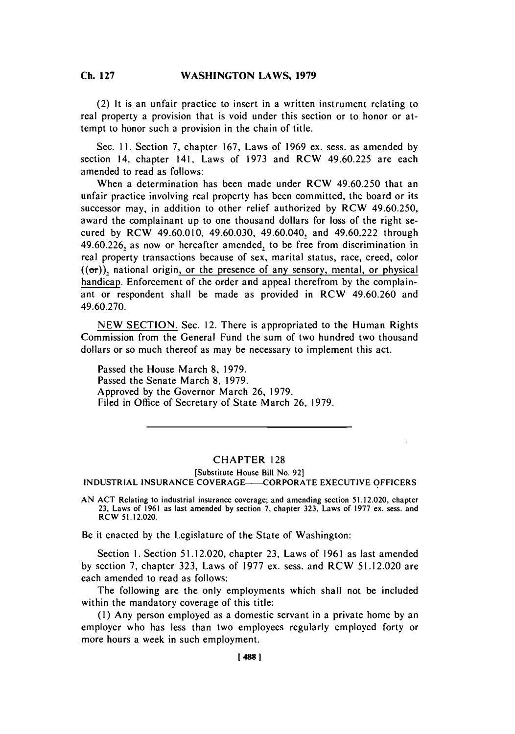#### Ch **127WASHINGTON LAWS, 1979 Ch. 127**

(2) It is an unfair practice to insert in a written instrument relating to real property a provision that is void under this section or to honor or attempt to honor such a provision in the chain of title.

Sec. **11.** Section **7,** chapter **167,** Laws of **1969** ex. sess. as amended **by** section 14, chapter 141, Laws of **1973** and RCW 49.60.225 are each amended to read as follows:

When a determination has been made under RCW 49.60.250 that an unfair practice involving real property has been committed, the board or its successor may, in addition to other relief authorized **by** RCW 49.60.250, award the complainant up to one thousand dollars for loss of the right secured **by** RCW 49.60.010, 49.60.030, 49.60.040, and 49.60.222 through 49.60.226, as now or hereafter amended, to be free from discrimination in real property transactions because of sex, marital status, race, creed, color  $((\sigma r))$ , national origin, or the presence of any sensory, mental, or physical handicap. Enforcement of the order and appeal therefrom **by** the complainant or respondent shall be made as provided in RCW 49.60.260 and **49.60.270.**

**NEW SECTION.** Sec. 12. There is appropriated to the Human Rights Commission from the General Fund the sum of two hundred two thousand dollars or so much thereof as may be necessary to implement this act.

Passed the House March **8, 1979.** Passed the Senate March **8, 1979.** Approved **by** the Governor March **26, 1979.** Filed in Office of Secretary of State March **26, 1979.**

## CHAPTER **128**

## [Substitute House Bill No. **92] INDUSTRIAL INSURANCE** COVERAGE-CORPORATE **EXECUTIVE** OFFICERS

**AN ACT** Relating to industrial insurance coverage; and amending section **51.12.020,** chapter **23,** Laws of **1961** as last amended **by** section **7,** chapter **323,** Laws of **1977** ex. sess. and RCW **51.12.020.**

Be it enacted **by** the Legislature of the State of Washington:

Section **1.** Section **5 1.12.020,** chapter **23,** Laws of **1961** as last amended **by** section **7,** chapter **323,** Laws of **1977** ex. sess. and RCW **5 1.12.020** are each amended to read as follows:

The following are the only employments which shall not be included within the mandatory coverage of this title:

**(1)** Any person employed as a domestic servant in a private home **by** an employer who has less than two employees regularly employed forty or more hours a week in such employment.